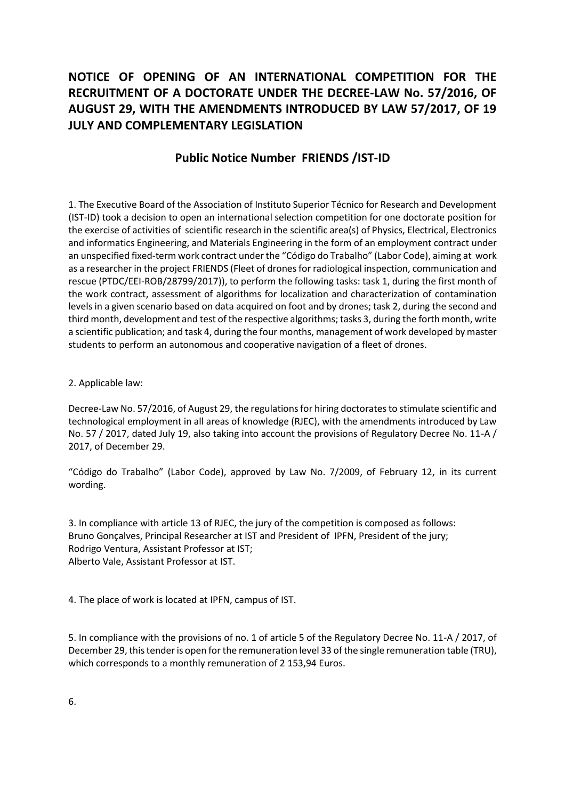## **NOTICE OF OPENING OF AN INTERNATIONAL COMPETITION FOR THE RECRUITMENT OF A DOCTORATE UNDER THE DECREE-LAW No. 57/2016, OF AUGUST 29, WITH THE AMENDMENTS INTRODUCED BY LAW 57/2017, OF 19 JULY AND COMPLEMENTARY LEGISLATION**

## **Public Notice Number FRIENDS /IST-ID**

1. The Executive Board of the Association of Instituto Superior Técnico for Research and Development (IST-ID) took a decision to open an international selection competition for one doctorate position for the exercise of activities of scientific research in the scientific area(s) of Physics, Electrical, Electronics and informatics Engineering, and Materials Engineering in the form of an employment contract under an unspecified fixed-term work contract under the "Código do Trabalho" (Labor Code), aiming at work as a researcher in the project FRIENDS (Fleet of drones for radiological inspection, communication and rescue (PTDC/EEI-ROB/28799/2017)), to perform the following tasks: task 1, during the first month of the work contract, assessment of algorithms for localization and characterization of contamination levels in a given scenario based on data acquired on foot and by drones; task 2, during the second and third month, development and test of the respective algorithms; tasks 3, during the forth month, write a scientific publication; and task 4, during the four months, management of work developed by master students to perform an autonomous and cooperative navigation of a fleet of drones.

## 2. Applicable law:

Decree-Law No. 57/2016, of August 29, the regulations for hiring doctorates to stimulate scientific and technological employment in all areas of knowledge (RJEC), with the amendments introduced by Law No. 57 / 2017, dated July 19, also taking into account the provisions of Regulatory Decree No. 11-A / 2017, of December 29.

"Código do Trabalho" (Labor Code), approved by Law No. 7/2009, of February 12, in its current wording.

3. In compliance with article 13 of RJEC, the jury of the competition is composed as follows: Bruno Gonçalves, Principal Researcher at IST and President of IPFN, President of the jury; Rodrigo Ventura, Assistant Professor at IST; Alberto Vale, Assistant Professor at IST.

4. The place of work is located at IPFN, campus of IST.

5. In compliance with the provisions of no. 1 of article 5 of the Regulatory Decree No. 11-A / 2017, of December 29, this tender is open for the remuneration level 33 of the single remuneration table (TRU), which corresponds to a monthly remuneration of 2 153,94 Euros.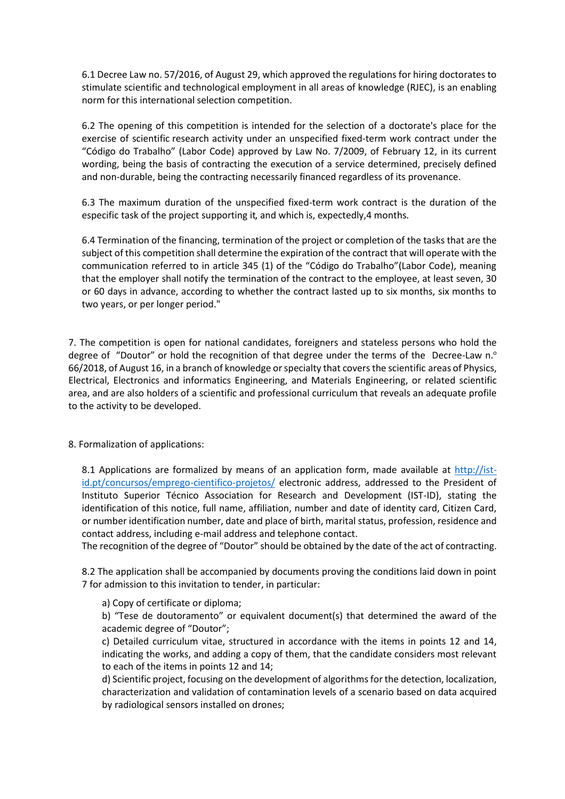6.1 Decree Law no. 57/2016, of August 29, which approved the regulations for hiring doctorates to stimulate scientific and technological employment in all areas of knowledge (RJEC), is an enabling norm for this international selection competition.

6.2 The opening of this competition is intended for the selection of a doctorate's place for the exercise of scientific research activity under an unspecified fixed-term work contract under the "Código do Trabalho" (Labor Code) approved by Law No. 7/2009, of February 12, in its current wording, being the basis of contracting the execution of a service determined, precisely defined and non-durable, being the contracting necessarily financed regardless of its provenance.

6.3 The maximum duration of the unspecified fixed-term work contract is the duration of the especific task of the project supporting it, and which is, expectedly,4 months.

6.4 Termination of the financing, termination of the project or completion of the tasks that are the subject of this competition shall determine the expiration of the contract that will operate with the communication referred to in article 345 (1) of the "Código do Trabalho"(Labor Code), meaning that the employer shall notify the termination of the contract to the employee, at least seven, 30 or 60 days in advance, according to whether the contract lasted up to six months, six months to two years, or per longer period."

7. The competition is open for national candidates, foreigners and stateless persons who hold the degree of "Doutor" or hold the recognition of that degree under the terms of the Decree-Law  $n<sup>o</sup>$ 66/2018, of August 16, in a branch of knowledge or specialty that covers the scientific areas of Physics, Electrical, Electronics and informatics Engineering, and Materials Engineering, or related scientific area, and are also holders of a scientific and professional curriculum that reveals an adequate profile to the activity to be developed.

8. Formalization of applications:

8.1 Applications are formalized by means of an application form, made available at [http://ist](http://ist-id.pt/concursos/emprego-cientifico-projetos/)[id.pt/concursos/emprego-cientifico-projetos/](http://ist-id.pt/concursos/emprego-cientifico-projetos/) electronic address, addressed to the President of Instituto Superior Técnico Association for Research and Development (IST-ID), stating the identification of this notice, full name, affiliation, number and date of identity card, Citizen Card, or number identification number, date and place of birth, marital status, profession, residence and contact address, including e-mail address and telephone contact.

The recognition of the degree of "Doutor" should be obtained by the date of the act of contracting.

8.2 The application shall be accompanied by documents proving the conditions laid down in point 7 for admission to this invitation to tender, in particular:

a) Copy of certificate or diploma;

b) "Tese de doutoramento" or equivalent document(s) that determined the award of the academic degree of "Doutor";

c) Detailed curriculum vitae, structured in accordance with the items in points 12 and 14, indicating the works, and adding a copy of them, that the candidate considers most relevant to each of the items in points 12 and 14;

d) Scientific project, focusing on the development of algorithms for the detection, localization, characterization and validation of contamination levels of a scenario based on data acquired by radiological sensors installed on drones;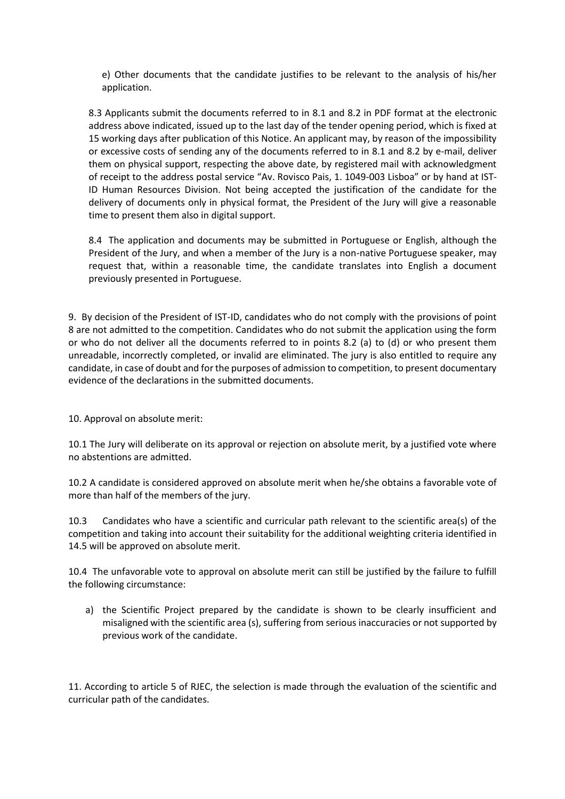e) Other documents that the candidate justifies to be relevant to the analysis of his/her application.

8.3 Applicants submit the documents referred to in 8.1 and 8.2 in PDF format at the electronic address above indicated, issued up to the last day of the tender opening period, which is fixed at 15 working days after publication of this Notice. An applicant may, by reason of the impossibility or excessive costs of sending any of the documents referred to in 8.1 and 8.2 by e-mail, deliver them on physical support, respecting the above date, by registered mail with acknowledgment of receipt to the address postal service "Av. Rovisco Pais, 1. 1049-003 Lisboa" or by hand at IST-ID Human Resources Division. Not being accepted the justification of the candidate for the delivery of documents only in physical format, the President of the Jury will give a reasonable time to present them also in digital support.

8.4 The application and documents may be submitted in Portuguese or English, although the President of the Jury, and when a member of the Jury is a non-native Portuguese speaker, may request that, within a reasonable time, the candidate translates into English a document previously presented in Portuguese.

9. By decision of the President of IST-ID, candidates who do not comply with the provisions of point 8 are not admitted to the competition. Candidates who do not submit the application using the form or who do not deliver all the documents referred to in points 8.2 (a) to (d) or who present them unreadable, incorrectly completed, or invalid are eliminated. The jury is also entitled to require any candidate, in case of doubt and for the purposes of admission to competition, to present documentary evidence of the declarations in the submitted documents.

10. Approval on absolute merit:

10.1 The Jury will deliberate on its approval or rejection on absolute merit, by a justified vote where no abstentions are admitted.

10.2 A candidate is considered approved on absolute merit when he/she obtains a favorable vote of more than half of the members of the jury.

10.3 Candidates who have a scientific and curricular path relevant to the scientific area(s) of the competition and taking into account their suitability for the additional weighting criteria identified in 14.5 will be approved on absolute merit.

10.4 The unfavorable vote to approval on absolute merit can still be justified by the failure to fulfill the following circumstance:

a) the Scientific Project prepared by the candidate is shown to be clearly insufficient and misaligned with the scientific area (s), suffering from serious inaccuracies or not supported by previous work of the candidate.

11. According to article 5 of RJEC, the selection is made through the evaluation of the scientific and curricular path of the candidates.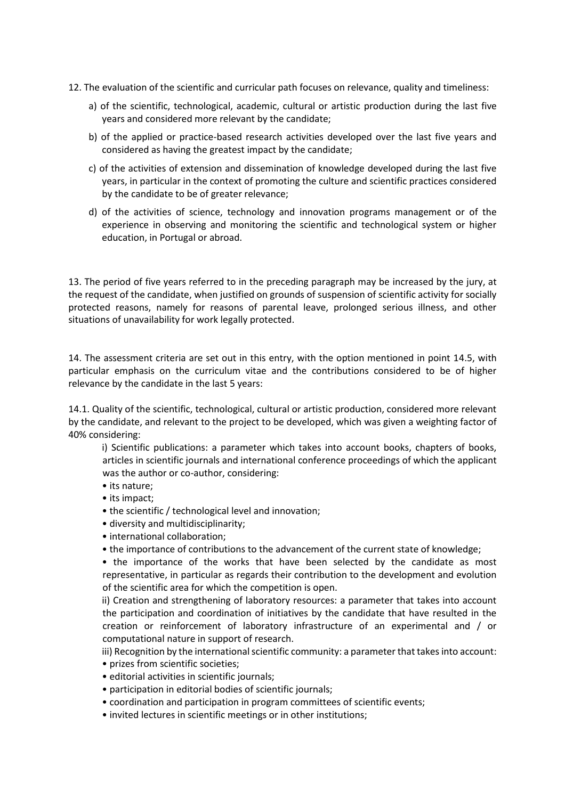- 12. The evaluation of the scientific and curricular path focuses on relevance, quality and timeliness:
	- a) of the scientific, technological, academic, cultural or artistic production during the last five years and considered more relevant by the candidate;
	- b) of the applied or practice-based research activities developed over the last five years and considered as having the greatest impact by the candidate;
	- c) of the activities of extension and dissemination of knowledge developed during the last five years, in particular in the context of promoting the culture and scientific practices considered by the candidate to be of greater relevance;
	- d) of the activities of science, technology and innovation programs management or of the experience in observing and monitoring the scientific and technological system or higher education, in Portugal or abroad.

13. The period of five years referred to in the preceding paragraph may be increased by the jury, at the request of the candidate, when justified on grounds of suspension of scientific activity for socially protected reasons, namely for reasons of parental leave, prolonged serious illness, and other situations of unavailability for work legally protected.

14. The assessment criteria are set out in this entry, with the option mentioned in point 14.5, with particular emphasis on the curriculum vitae and the contributions considered to be of higher relevance by the candidate in the last 5 years:

14.1. Quality of the scientific, technological, cultural or artistic production, considered more relevant by the candidate, and relevant to the project to be developed, which was given a weighting factor of 40% considering:

i) Scientific publications: a parameter which takes into account books, chapters of books, articles in scientific journals and international conference proceedings of which the applicant was the author or co-author, considering:

- its nature;
- its impact;
- the scientific / technological level and innovation;
- diversity and multidisciplinarity;
- international collaboration;
- the importance of contributions to the advancement of the current state of knowledge;

• the importance of the works that have been selected by the candidate as most representative, in particular as regards their contribution to the development and evolution of the scientific area for which the competition is open.

ii) Creation and strengthening of laboratory resources: a parameter that takes into account the participation and coordination of initiatives by the candidate that have resulted in the creation or reinforcement of laboratory infrastructure of an experimental and / or computational nature in support of research.

iii) Recognition by the international scientific community: a parameter that takes into account: • prizes from scientific societies;

- editorial activities in scientific journals;
- participation in editorial bodies of scientific journals;
- coordination and participation in program committees of scientific events;
- invited lectures in scientific meetings or in other institutions;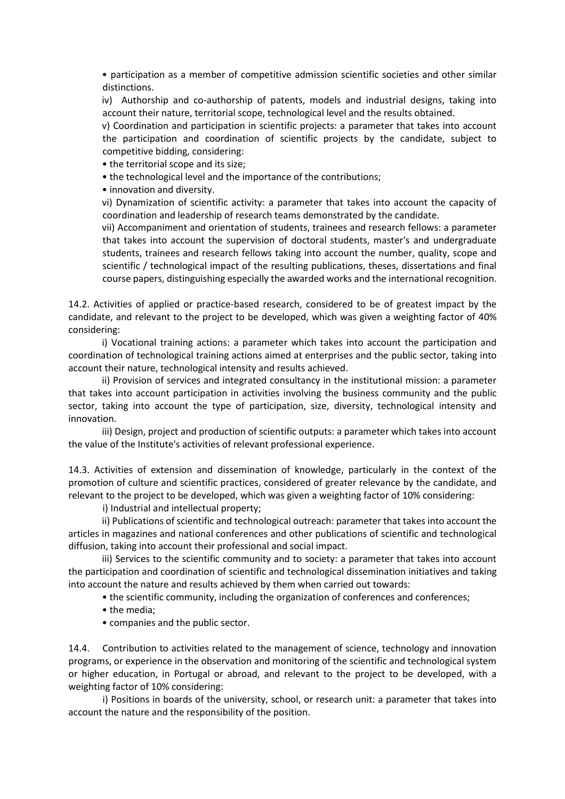• participation as a member of competitive admission scientific societies and other similar distinctions.

iv) Authorship and co-authorship of patents, models and industrial designs, taking into account their nature, territorial scope, technological level and the results obtained.

v) Coordination and participation in scientific projects: a parameter that takes into account the participation and coordination of scientific projects by the candidate, subject to competitive bidding, considering:

• the territorial scope and its size;

• the technological level and the importance of the contributions;

• innovation and diversity.

vi) Dynamization of scientific activity: a parameter that takes into account the capacity of coordination and leadership of research teams demonstrated by the candidate.

vii) Accompaniment and orientation of students, trainees and research fellows: a parameter that takes into account the supervision of doctoral students, master's and undergraduate students, trainees and research fellows taking into account the number, quality, scope and scientific / technological impact of the resulting publications, theses, dissertations and final course papers, distinguishing especially the awarded works and the international recognition.

14.2. Activities of applied or practice-based research, considered to be of greatest impact by the candidate, and relevant to the project to be developed, which was given a weighting factor of 40% considering:

i) Vocational training actions: a parameter which takes into account the participation and coordination of technological training actions aimed at enterprises and the public sector, taking into account their nature, technological intensity and results achieved.

ii) Provision of services and integrated consultancy in the institutional mission: a parameter that takes into account participation in activities involving the business community and the public sector, taking into account the type of participation, size, diversity, technological intensity and innovation.

iii) Design, project and production of scientific outputs: a parameter which takes into account the value of the Institute's activities of relevant professional experience.

14.3. Activities of extension and dissemination of knowledge, particularly in the context of the promotion of culture and scientific practices, considered of greater relevance by the candidate, and relevant to the project to be developed, which was given a weighting factor of 10% considering:

i) Industrial and intellectual property;

ii) Publications of scientific and technological outreach: parameter that takes into account the articles in magazines and national conferences and other publications of scientific and technological diffusion, taking into account their professional and social impact.

iii) Services to the scientific community and to society: a parameter that takes into account the participation and coordination of scientific and technological dissemination initiatives and taking into account the nature and results achieved by them when carried out towards:

• the scientific community, including the organization of conferences and conferences;

- the media;
- companies and the public sector.

14.4. Contribution to activities related to the management of science, technology and innovation programs, or experience in the observation and monitoring of the scientific and technological system or higher education, in Portugal or abroad, and relevant to the project to be developed, with a weighting factor of 10% considering:

i) Positions in boards of the university, school, or research unit: a parameter that takes into account the nature and the responsibility of the position.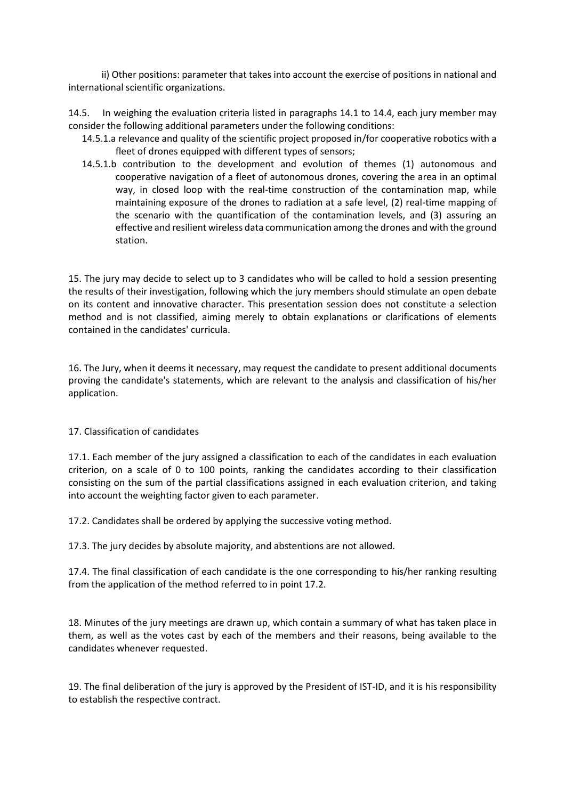ii) Other positions: parameter that takes into account the exercise of positions in national and international scientific organizations.

14.5. In weighing the evaluation criteria listed in paragraphs 14.1 to 14.4, each jury member may consider the following additional parameters under the following conditions:

- 14.5.1.a relevance and quality of the scientific project proposed in/for cooperative robotics with a fleet of drones equipped with different types of sensors;
- 14.5.1.b contribution to the development and evolution of themes (1) autonomous and cooperative navigation of a fleet of autonomous drones, covering the area in an optimal way, in closed loop with the real-time construction of the contamination map, while maintaining exposure of the drones to radiation at a safe level, (2) real-time mapping of the scenario with the quantification of the contamination levels, and (3) assuring an effective and resilient wireless data communication among the drones and with the ground station.

15. The jury may decide to select up to 3 candidates who will be called to hold a session presenting the results of their investigation, following which the jury members should stimulate an open debate on its content and innovative character. This presentation session does not constitute a selection method and is not classified, aiming merely to obtain explanations or clarifications of elements contained in the candidates' curricula.

16. The Jury, when it deems it necessary, may request the candidate to present additional documents proving the candidate's statements, which are relevant to the analysis and classification of his/her application.

## 17. Classification of candidates

17.1. Each member of the jury assigned a classification to each of the candidates in each evaluation criterion, on a scale of 0 to 100 points, ranking the candidates according to their classification consisting on the sum of the partial classifications assigned in each evaluation criterion, and taking into account the weighting factor given to each parameter.

17.2. Candidates shall be ordered by applying the successive voting method.

17.3. The jury decides by absolute majority, and abstentions are not allowed.

17.4. The final classification of each candidate is the one corresponding to his/her ranking resulting from the application of the method referred to in point 17.2.

18. Minutes of the jury meetings are drawn up, which contain a summary of what has taken place in them, as well as the votes cast by each of the members and their reasons, being available to the candidates whenever requested.

19. The final deliberation of the jury is approved by the President of IST-ID, and it is his responsibility to establish the respective contract.